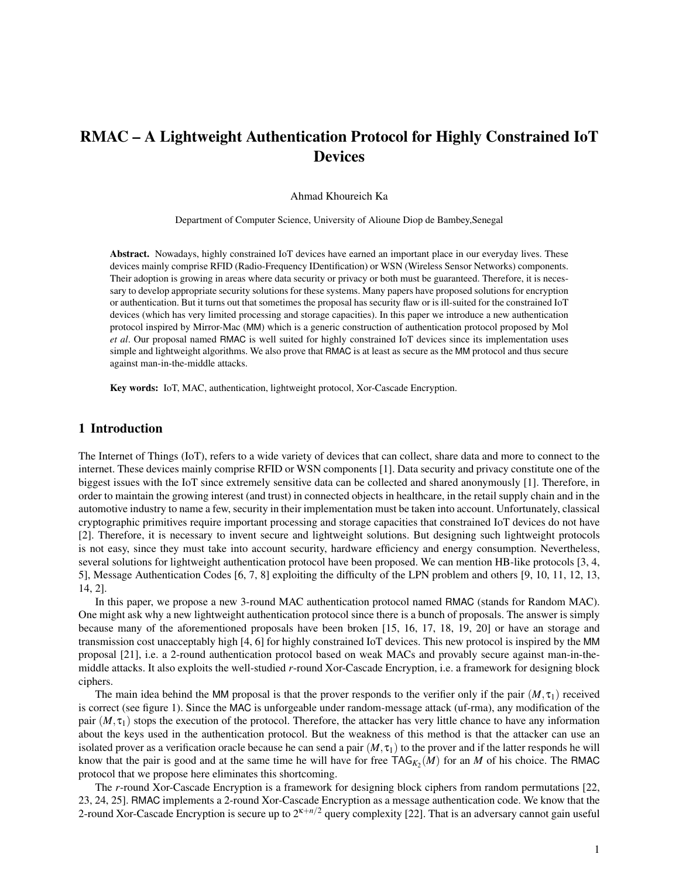# RMAC – A Lightweight Authentication Protocol for Highly Constrained IoT **Devices**

## Ahmad Khoureich Ka

Department of Computer Science, University of Alioune Diop de Bambey,Senegal

Abstract. Nowadays, highly constrained IoT devices have earned an important place in our everyday lives. These devices mainly comprise RFID (Radio-Frequency IDentification) or WSN (Wireless Sensor Networks) components. Their adoption is growing in areas where data security or privacy or both must be guaranteed. Therefore, it is necessary to develop appropriate security solutions for these systems. Many papers have proposed solutions for encryption or authentication. But it turns out that sometimes the proposal has security flaw or is ill-suited for the constrained IoT devices (which has very limited processing and storage capacities). In this paper we introduce a new authentication protocol inspired by Mirror-Mac (MM) which is a generic construction of authentication protocol proposed by Mol *et al*. Our proposal named RMAC is well suited for highly constrained IoT devices since its implementation uses simple and lightweight algorithms. We also prove that RMAC is at least as secure as the MM protocol and thus secure against man-in-the-middle attacks.

Key words: IoT, MAC, authentication, lightweight protocol, Xor-Cascade Encryption.

# 1 Introduction

The Internet of Things (IoT), refers to a wide variety of devices that can collect, share data and more to connect to the internet. These devices mainly comprise RFID or WSN components [1]. Data security and privacy constitute one of the biggest issues with the IoT since extremely sensitive data can be collected and shared anonymously [1]. Therefore, in order to maintain the growing interest (and trust) in connected objects in healthcare, in the retail supply chain and in the automotive industry to name a few, security in their implementation must be taken into account. Unfortunately, classical cryptographic primitives require important processing and storage capacities that constrained IoT devices do not have [2]. Therefore, it is necessary to invent secure and lightweight solutions. But designing such lightweight protocols is not easy, since they must take into account security, hardware efficiency and energy consumption. Nevertheless, several solutions for lightweight authentication protocol have been proposed. We can mention HB-like protocols [3, 4, 5], Message Authentication Codes [6, 7, 8] exploiting the difficulty of the LPN problem and others [9, 10, 11, 12, 13, 14, 2].

In this paper, we propose a new 3-round MAC authentication protocol named RMAC (stands for Random MAC). One might ask why a new lightweight authentication protocol since there is a bunch of proposals. The answer is simply because many of the aforementioned proposals have been broken [15, 16, 17, 18, 19, 20] or have an storage and transmission cost unacceptably high [4, 6] for highly constrained IoT devices. This new protocol is inspired by the MM proposal [21], i.e. a 2-round authentication protocol based on weak MACs and provably secure against man-in-themiddle attacks. It also exploits the well-studied *r*-round Xor-Cascade Encryption, i.e. a framework for designing block ciphers.

The main idea behind the MM proposal is that the prover responds to the verifier only if the pair  $(M, \tau_1)$  received is correct (see figure 1). Since the MAC is unforgeable under random-message attack (uf-rma), any modification of the pair  $(M, \tau_1)$  stops the execution of the protocol. Therefore, the attacker has very little chance to have any information about the keys used in the authentication protocol. But the weakness of this method is that the attacker can use an isolated prover as a verification oracle because he can send a pair  $(M, \tau)$  to the prover and if the latter responds he will know that the pair is good and at the same time he will have for free  $TAG_{K_2}(M)$  for an M of his choice. The RMAC protocol that we propose here eliminates this shortcoming.

The *r*-round Xor-Cascade Encryption is a framework for designing block ciphers from random permutations [22, 23, 24, 25]. RMAC implements a 2-round Xor-Cascade Encryption as a message authentication code. We know that the 2-round Xor-Cascade Encryption is secure up to 2κ+*n*/<sup>2</sup> query complexity [22]. That is an adversary cannot gain useful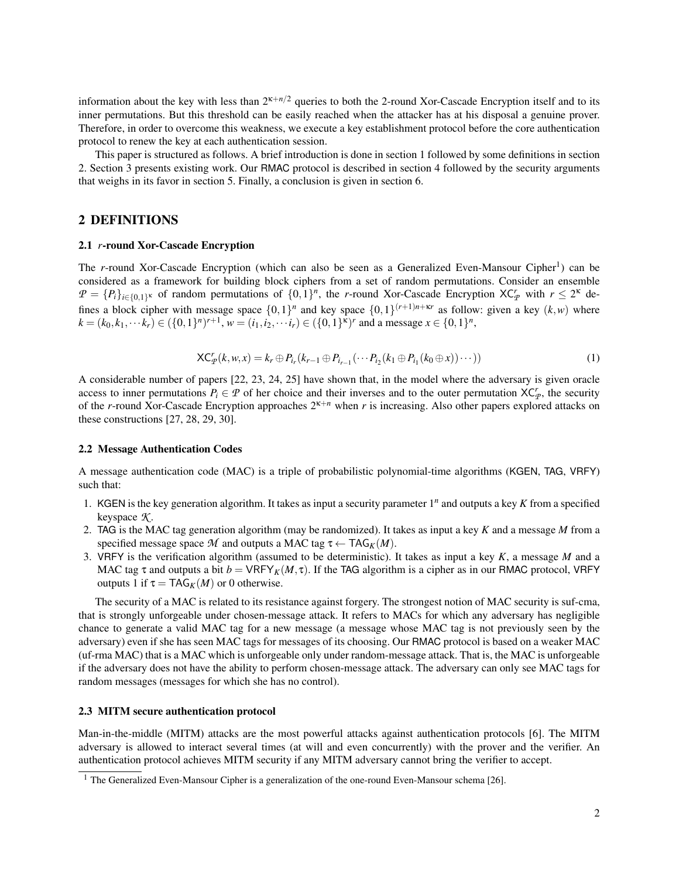information about the key with less than  $2^{k+n/2}$  queries to both the 2-round Xor-Cascade Encryption itself and to its inner permutations. But this threshold can be easily reached when the attacker has at his disposal a genuine prover. Therefore, in order to overcome this weakness, we execute a key establishment protocol before the core authentication protocol to renew the key at each authentication session.

This paper is structured as follows. A brief introduction is done in section 1 followed by some definitions in section 2. Section 3 presents existing work. Our RMAC protocol is described in section 4 followed by the security arguments that weighs in its favor in section 5. Finally, a conclusion is given in section 6.

# 2 DEFINITIONS

## 2.1 *r*-round Xor-Cascade Encryption

The *r*-round Xor-Cascade Encryption (which can also be seen as a Generalized Even-Mansour Cipher<sup>1</sup>) can be considered as a framework for building block ciphers from a set of random permutations. Consider an ensemble  $P = \{P_i\}_{i \in \{0,1\}^K}$  of random permutations of  $\{0,1\}^n$ , the *r*-round Xor-Cascade Encryption XC<sup>*r*</sup><sub>*P*</sub> with  $r \leq 2^{\kappa}$  defines a block cipher with message space  $\{0,1\}^n$  and key space  $\{0,1\}^{(r+1)n+\kappa r}$  as follow: given a key  $(k, w)$  where  $k = (k_0, k_1, \dots k_r) \in (\{0, 1\}^n)^{r+1}, w = (i_1, i_2, \dots i_r) \in (\{0, 1\}^{\kappa})^r$  and a message  $x \in \{0, 1\}^n$ ,

$$
\mathsf{XC}_\mathcal{P}^r(k, w, x) = k_r \oplus P_{i_r}(k_{r-1} \oplus P_{i_{r-1}}(\cdots P_{i_2}(k_1 \oplus P_{i_1}(k_0 \oplus x))\cdots))
$$
\n(1)

A considerable number of papers [22, 23, 24, 25] have shown that, in the model where the adversary is given oracle access to inner permutations  $P_i \in \mathcal{P}$  of her choice and their inverses and to the outer permutation  $XC_p^r$ , the security of the *r*-round Xor-Cascade Encryption approaches 2κ+*<sup>n</sup>* when *r* is increasing. Also other papers explored attacks on these constructions [27, 28, 29, 30].

#### 2.2 Message Authentication Codes

A message authentication code (MAC) is a triple of probabilistic polynomial-time algorithms (KGEN, TAG, VRFY) such that:

- 1. KGEN is the key generation algorithm. It takes as input a security parameter 1*<sup>n</sup>* and outputs a key *K* from a specified keyspace *K* .
- 2. TAG is the MAC tag generation algorithm (may be randomized). It takes as input a key *K* and a message *M* from a specified message space *M* and outputs a MAC tag  $\tau \leftarrow \text{TAG}_K(M)$ .
- 3. VRFY is the verification algorithm (assumed to be deterministic). It takes as input a key *K*, a message *M* and a MAC tag  $\tau$  and outputs a bit  $b = \text{VRFY}_K(M, \tau)$ . If the TAG algorithm is a cipher as in our RMAC protocol, VRFY outputs 1 if  $\tau = \text{TAG}_K(M)$  or 0 otherwise.

The security of a MAC is related to its resistance against forgery. The strongest notion of MAC security is suf-cma, that is strongly unforgeable under chosen-message attack. It refers to MACs for which any adversary has negligible chance to generate a valid MAC tag for a new message (a message whose MAC tag is not previously seen by the adversary) even if she has seen MAC tags for messages of its choosing. Our RMAC protocol is based on a weaker MAC (uf-rma MAC) that is a MAC which is unforgeable only under random-message attack. That is, the MAC is unforgeable if the adversary does not have the ability to perform chosen-message attack. The adversary can only see MAC tags for random messages (messages for which she has no control).

## 2.3 MITM secure authentication protocol

Man-in-the-middle (MITM) attacks are the most powerful attacks against authentication protocols [6]. The MITM adversary is allowed to interact several times (at will and even concurrently) with the prover and the verifier. An authentication protocol achieves MITM security if any MITM adversary cannot bring the verifier to accept.

 $1$  The Generalized Even-Mansour Cipher is a generalization of the one-round Even-Mansour schema [26].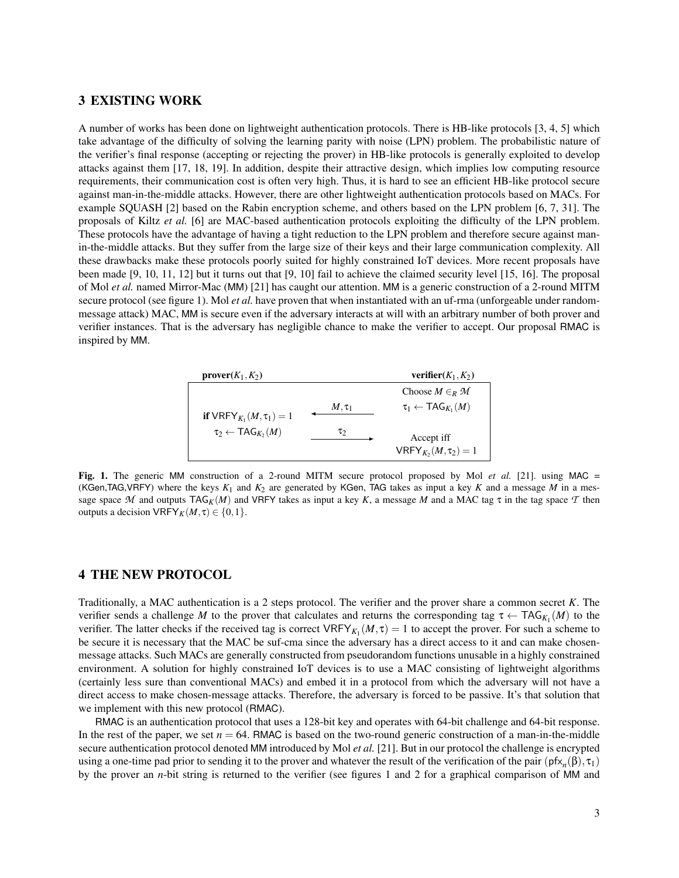## 3 EXISTING WORK

A number of works has been done on lightweight authentication protocols. There is HB-like protocols [3, 4, 5] which take advantage of the difficulty of solving the learning parity with noise (LPN) problem. The probabilistic nature of the verifier's final response (accepting or rejecting the prover) in HB-like protocols is generally exploited to develop attacks against them [17, 18, 19]. In addition, despite their attractive design, which implies low computing resource requirements, their communication cost is often very high. Thus, it is hard to see an efficient HB-like protocol secure against man-in-the-middle attacks. However, there are other lightweight authentication protocols based on MACs. For example SQUASH [2] based on the Rabin encryption scheme, and others based on the LPN problem [6, 7, 31]. The proposals of Kiltz *et al.* [6] are MAC-based authentication protocols exploiting the difficulty of the LPN problem. These protocols have the advantage of having a tight reduction to the LPN problem and therefore secure against manin-the-middle attacks. But they suffer from the large size of their keys and their large communication complexity. All these drawbacks make these protocols poorly suited for highly constrained IoT devices. More recent proposals have been made [9, 10, 11, 12] but it turns out that [9, 10] fail to achieve the claimed security level [15, 16]. The proposal of Mol *et al.* named Mirror-Mac (MM) [21] has caught our attention. MM is a generic construction of a 2-round MITM secure protocol (see figure 1). Mol *et al.* have proven that when instantiated with an uf-rma (unforgeable under randommessage attack) MAC, MM is secure even if the adversary interacts at will with an arbitrary number of both prover and verifier instances. That is the adversary has negligible chance to make the verifier to accept. Our proposal RMAC is inspired by MM.



Fig. 1. The generic MM construction of a 2-round MITM secure protocol proposed by Mol et al. [21]. using MAC = (KGen,TAG,VRFY) where the keys  $K_1$  and  $K_2$  are generated by KGen, TAG takes as input a key  $K$  and a message  $M$  in a message space  $M$  and outputs  $TAG_K(M)$  and VRFY takes as input a key K, a message M and a MAC tag  $\tau$  in the tag space  $T$  then outputs a decision  $VRFY_K(M, \tau) \in \{0, 1\}.$ 

## 4 THE NEW PROTOCOL

Traditionally, a MAC authentication is a 2 steps protocol. The verifier and the prover share a common secret *K*. The verifier sends a challenge *M* to the prover that calculates and returns the corresponding tag  $\tau \leftarrow \text{TAG}_{K_1}(M)$  to the verifier. The latter checks if the received tag is correct  $VRFY_{K_1}(M, \tau) = 1$  to accept the prover. For such a scheme to be secure it is necessary that the MAC be suf-cma since the adversary has a direct access to it and can make chosenmessage attacks. Such MACs are generally constructed from pseudorandom functions unusable in a highly constrained environment. A solution for highly constrained IoT devices is to use a MAC consisting of lightweight algorithms (certainly less sure than conventional MACs) and embed it in a protocol from which the adversary will not have a direct access to make chosen-message attacks. Therefore, the adversary is forced to be passive. It's that solution that we implement with this new protocol (RMAC).

RMAC is an authentication protocol that uses a 128-bit key and operates with 64-bit challenge and 64-bit response. In the rest of the paper, we set  $n = 64$ . RMAC is based on the two-round generic construction of a man-in-the-middle secure authentication protocol denoted MM introduced by Mol *et al.* [21]. But in our protocol the challenge is encrypted using a one-time pad prior to sending it to the prover and whatever the result of the verification of the pair  $(pfx_n(\beta), \tau_1)$ by the prover an *n*-bit string is returned to the verifier (see figures 1 and 2 for a graphical comparison of MM and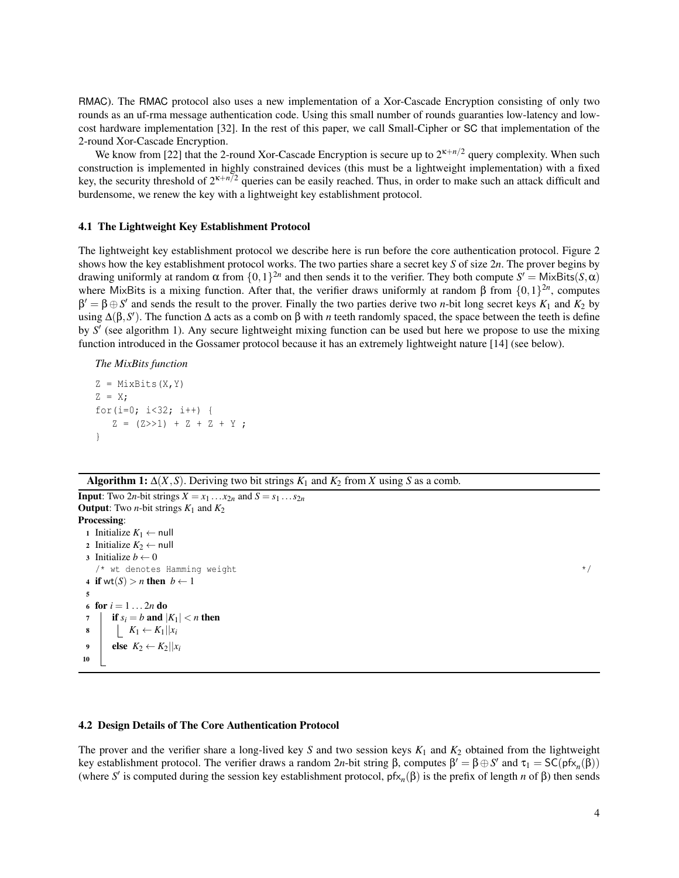RMAC). The RMAC protocol also uses a new implementation of a Xor-Cascade Encryption consisting of only two rounds as an uf-rma message authentication code. Using this small number of rounds guaranties low-latency and lowcost hardware implementation [32]. In the rest of this paper, we call Small-Cipher or SC that implementation of the 2-round Xor-Cascade Encryption.

We know from [22] that the 2-round Xor-Cascade Encryption is secure up to  $2^{k+n/2}$  query complexity. When such construction is implemented in highly constrained devices (this must be a lightweight implementation) with a fixed key, the security threshold of  $2^k n^2$  queries can be easily reached. Thus, in order to make such an attack difficult and burdensome, we renew the key with a lightweight key establishment protocol.

## 4.1 The Lightweight Key Establishment Protocol

The lightweight key establishment protocol we describe here is run before the core authentication protocol. Figure 2 shows how the key establishment protocol works. The two parties share a secret key *S* of size 2*n*. The prover begins by drawing uniformly at random  $\alpha$  from  $\{0,1\}^{2n}$  and then sends it to the verifier. They both compute  $S' =$  MixBits( $S, \alpha$ ) where MixBits is a mixing function. After that, the verifier draws uniformly at random  $\beta$  from  $\{0,1\}^{2n}$ , computes  $\beta' = \beta \oplus S'$  and sends the result to the prover. Finally the two parties derive two *n*-bit long secret keys  $K_1$  and  $K_2$  by using  $\Delta(\beta, S')$ . The function  $\Delta$  acts as a comb on  $\beta$  with *n* teeth randomly spaced, the space between the teeth is define by S' (see algorithm 1). Any secure lightweight mixing function can be used but here we propose to use the mixing function introduced in the Gossamer protocol because it has an extremely lightweight nature [14] (see below).

*The MixBits function*

```
Z = MixBits(X, Y)
Z = X;for(i=0; i < 32; i++) {
   Z = (Z>>1) + Z + Z + Y;
}
```
Algorithm 1:  $\Delta(X, S)$ . Deriving two bit strings  $K_1$  and  $K_2$  from *X* using *S* as a comb.

**Input:** Two 2*n*-bit strings  $X = x_1 \dots x_{2n}$  and  $S = s_1 \dots s_{2n}$ **Output:** Two *n*-bit strings  $K_1$  and  $K_2$ Processing: <sup>1</sup> Initialize *K*<sup>1</sup> ← null 2 Initialize  $K_2 \leftarrow$  null 3 Initialize  $b \leftarrow 0$  $\frac{1}{x}$  wt denotes Hamming weight  $\frac{x}{x}$ 4 if wt(S) > *n* then  $b \leftarrow 1$ 5 6 for  $i = 1 ... 2n$  do 7 | if  $s_i = b$  and  $|K_1| < n$  then 8 **K**<sub>1</sub> ← **K**<sub>1</sub> $|x_i$ 9 else  $K_2 \leftarrow K_2 ||x_i$ 10

### 4.2 Design Details of The Core Authentication Protocol

The prover and the verifier share a long-lived key *S* and two session keys  $K_1$  and  $K_2$  obtained from the lightweight key establishment protocol. The verifier draws a random 2*n*-bit string  $\beta$ , computes  $\beta' = \beta \oplus S'$  and  $\tau_1 = SC(pfx_n(\beta))$ (where *S'* is computed during the session key establishment protocol,  $pfx_n(\beta)$  is the prefix of length *n* of  $\beta$ ) then sends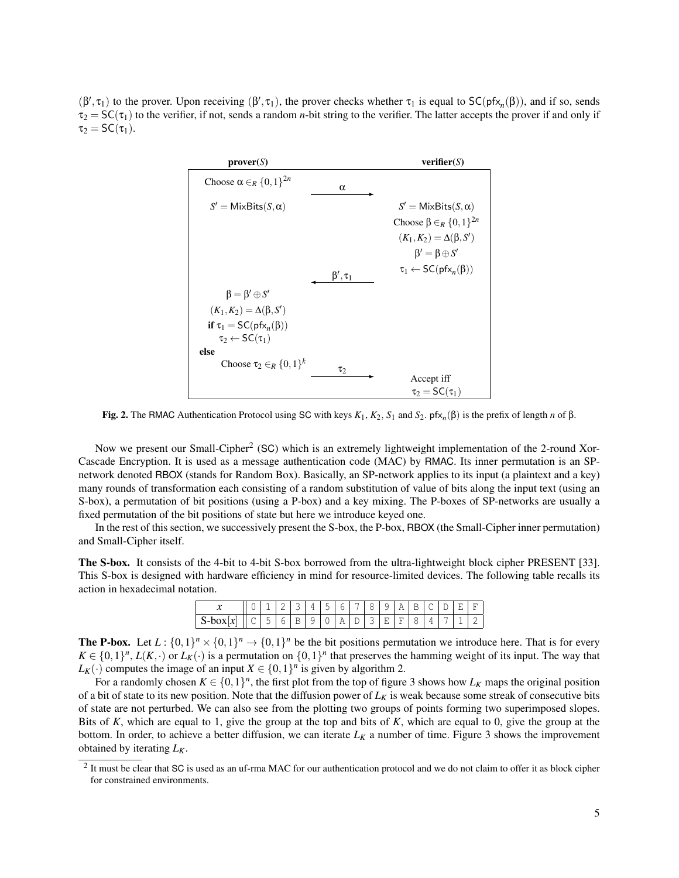$(\beta', \tau_1)$  to the prover. Upon receiving  $(\beta', \tau_1)$ , the prover checks whether  $\tau_1$  is equal to  $SC(pfx_n(\beta))$ , and if so, sends  $\tau_2 = SC(\tau_1)$  to the verifier, if not, sends a random *n*-bit string to the verifier. The latter accepts the prover if and only if  $\tau_2 = SC(\tau_1)$ .



**Fig. 2.** The RMAC Authentication Protocol using SC with keys  $K_1$ ,  $K_2$ ,  $S_1$  and  $S_2$ . pf $x_n(β)$  is the prefix of length *n* of  $β$ .

Now we present our Small-Cipher<sup>2</sup> (SC) which is an extremely lightweight implementation of the 2-round Xor-Cascade Encryption. It is used as a message authentication code (MAC) by RMAC. Its inner permutation is an SPnetwork denoted RBOX (stands for Random Box). Basically, an SP-network applies to its input (a plaintext and a key) many rounds of transformation each consisting of a random substitution of value of bits along the input text (using an S-box), a permutation of bit positions (using a P-box) and a key mixing. The P-boxes of SP-networks are usually a fixed permutation of the bit positions of state but here we introduce keyed one.

In the rest of this section, we successively present the S-box, the P-box, RBOX (the Small-Cipher inner permutation) and Small-Cipher itself.

The S-box. It consists of the 4-bit to 4-bit S-box borrowed from the ultra-lightweight block cipher PRESENT [33]. This S-box is designed with hardware efficiency in mind for resource-limited devices. The following table recalls its action in hexadecimal notation.

|  |              |                         | $\prec$ 1 | 145. |  | $61718$ | - Q | $\Delta$ $\Gamma$ $\Gamma$ |             |  |
|--|--------------|-------------------------|-----------|------|--|---------|-----|----------------------------|-------------|--|
|  | $\mathbf{h}$ | 6 R Q Q Q Q Q Q Q Q Q Q |           |      |  |         |     |                            | $4$   7   1 |  |

**The P-box.** Let  $L: \{0,1\}^n \times \{0,1\}^n \to \{0,1\}^n$  be the bit positions permutation we introduce here. That is for every  $K \in \{0,1\}^n$ ,  $L(K, \cdot)$  or  $L_K(\cdot)$  is a permutation on  $\{0,1\}^n$  that preserves the hamming weight of its input. The way that *L*<sup>K</sup>(·) computes the image of an input  $X \in \{0, 1\}^n$  is given by algorithm 2.

For a randomly chosen  $K \in \{0,1\}^n$ , the first plot from the top of figure 3 shows how  $L_K$  maps the original position of a bit of state to its new position. Note that the diffusion power of  $L_K$  is weak because some streak of consecutive bits of state are not perturbed. We can also see from the plotting two groups of points forming two superimposed slopes. Bits of *K*, which are equal to 1, give the group at the top and bits of *K*, which are equal to 0, give the group at the bottom. In order, to achieve a better diffusion, we can iterate *L<sup>K</sup>* a number of time. Figure 3 shows the improvement obtained by iterating *LK*.

 $<sup>2</sup>$  It must be clear that SC is used as an uf-rma MAC for our authentication protocol and we do not claim to offer it as block cipher</sup> for constrained environments.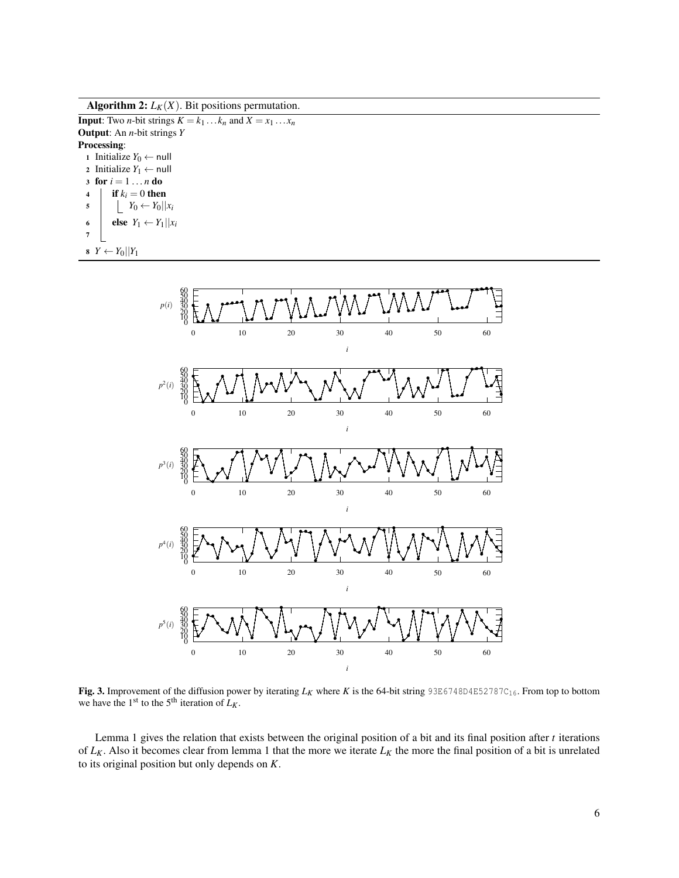Algorithm 2:  $L_K(X)$ . Bit positions permutation.

**Input:** Two *n*-bit strings  $K = k_1 \dots k_n$  and  $X = x_1 \dots x_n$ Output: An *n*-bit strings *Y* Processing: 1 Initialize  $Y_0$  ← null 2 Initialize  $Y_1 \leftarrow null$ 3 for  $i = 1 ... n$  do 4  $\int$  if  $k_i = 0$  then  $\begin{array}{c|c|c|c} \hline \text{5} & \text{matrix} & Y_0 \leftarrow Y_0 & \text{matrix} \end{array}$ 6 **else**  $Y_1 \leftarrow Y_1 || x_i$ 7 8  $Y \leftarrow Y_0 || Y_1$ 



**Fig. 3.** Improvement of the diffusion power by iterating  $L_K$  where K is the 64-bit string 93E6748D4E52787C<sub>16</sub>. From top to bottom we have the 1<sup>st</sup> to the 5<sup>th</sup> iteration of  $L_K$ .

Lemma 1 gives the relation that exists between the original position of a bit and its final position after *t* iterations of  $L_K$ . Also it becomes clear from lemma 1 that the more we iterate  $L_K$  the more the final position of a bit is unrelated to its original position but only depends on *K*.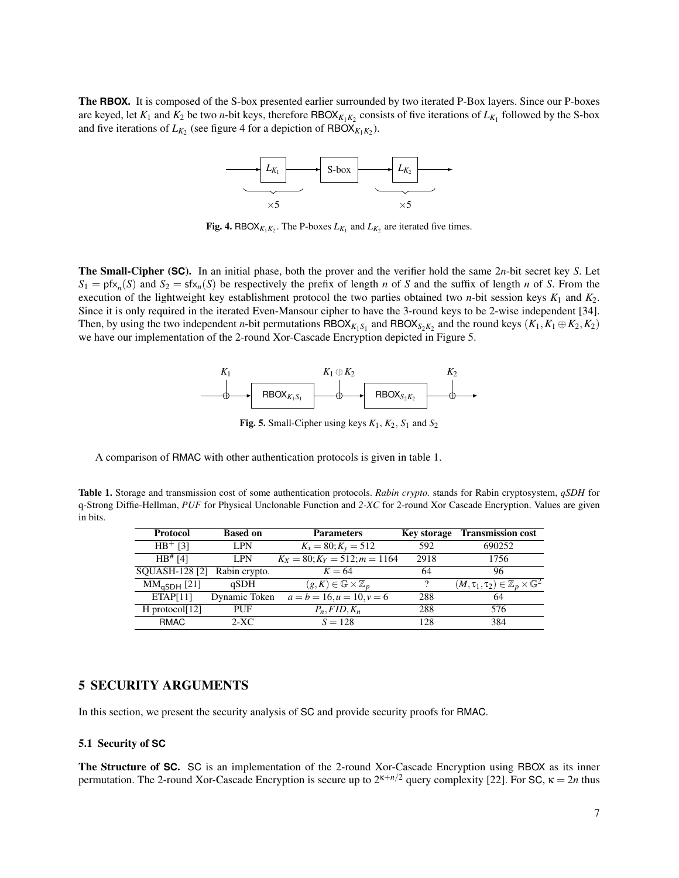The **RBOX**. It is composed of the S-box presented earlier surrounded by two iterated P-Box layers. Since our P-boxes are keyed, let  $K_1$  and  $K_2$  be two *n*-bit keys, therefore RBOX $_{K_1K_2}$  consists of five iterations of  $L_{K_1}$  followed by the S-box and five iterations of  $L_{K_2}$  (see figure 4 for a depiction of  $RBOX_{K_1K_2}$ ).



**Fig. 4.** RBOX $_{K_1K_2}$ . The P-boxes  $L_{K_1}$  and  $L_{K_2}$  are iterated five times.

The Small-Cipher (**SC**). In an initial phase, both the prover and the verifier hold the same 2*n*-bit secret key *S*. Let  $S_1 = \text{pfx}_n(S)$  and  $S_2 = \text{sfx}_n(S)$  be respectively the prefix of length *n* of *S* and the suffix of length *n* of *S*. From the execution of the lightweight key establishment protocol the two parties obtained two *n*-bit session keys *K*<sup>1</sup> and *K*2. Since it is only required in the iterated Even-Mansour cipher to have the 3-round keys to be 2-wise independent [34]. Then, by using the two independent *n*-bit permutations  $RBOX_{K_1S_1}$  and  $RBOX_{S_2K_2}$  and the round keys  $(K_1, K_1 \oplus K_2, K_2)$ we have our implementation of the 2-round Xor-Cascade Encryption depicted in Figure 5.



Fig. 5. Small-Cipher using keys  $K_1$ ,  $K_2$ ,  $S_1$  and  $S_2$ 

A comparison of RMAC with other authentication protocols is given in table 1.

Table 1. Storage and transmission cost of some authentication protocols. *Rabin crypto.* stands for Rabin cryptosystem, *qSDH* for q-Strong Diffie-Hellman, *PUF* for Physical Unclonable Function and *2-XC* for 2-round Xor Cascade Encryption. Values are given in bits.

| <b>Protocol</b>       | <b>Based on</b> | <b>Parameters</b>                          |      | Key storage Transmission cost                              |
|-----------------------|-----------------|--------------------------------------------|------|------------------------------------------------------------|
| $HB$ <sup>+</sup> [3] | <b>LPN</b>      | $K_x = 80; K_y = 512$                      | 592  | 690252                                                     |
| $HB$ <sup>#</sup> [4] | <b>LPN</b>      | $K_X = 80; K_Y = 512; m = 1164$            | 2918 | 1756                                                       |
| SQUASH-128 [2]        | Rabin crypto.   | $K=64$                                     | 64   | 96                                                         |
| $MMaSDH$ [21]         | qSDH            | $(g,K) \in \mathbb{G} \times \mathbb{Z}_n$ | 9    | $(M, \tau_1, \tau_2) \in \mathbb{Z}_p \times \mathbb{G}^2$ |
| ETAPI11               | Dynamic Token   | $a = b = 16, u = 10, v = 6$                | 288  | 64                                                         |
| $H$ protocol[12]      | PUF             | $P_n$ , FID, $K_n$                         | 288  | 576                                                        |
| <b>RMAC</b>           | $2-XC$          | $S = 128$                                  | 128  | 384                                                        |
|                       |                 |                                            |      |                                                            |

## 5 SECURITY ARGUMENTS

In this section, we present the security analysis of SC and provide security proofs for RMAC.

### 5.1 Security of **SC**

The Structure of **SC**. SC is an implementation of the 2-round Xor-Cascade Encryption using RBOX as its inner permutation. The 2-round Xor-Cascade Encryption is secure up to  $2^{\kappa+n/2}$  query complexity [22]. For SC,  $\kappa = 2n$  thus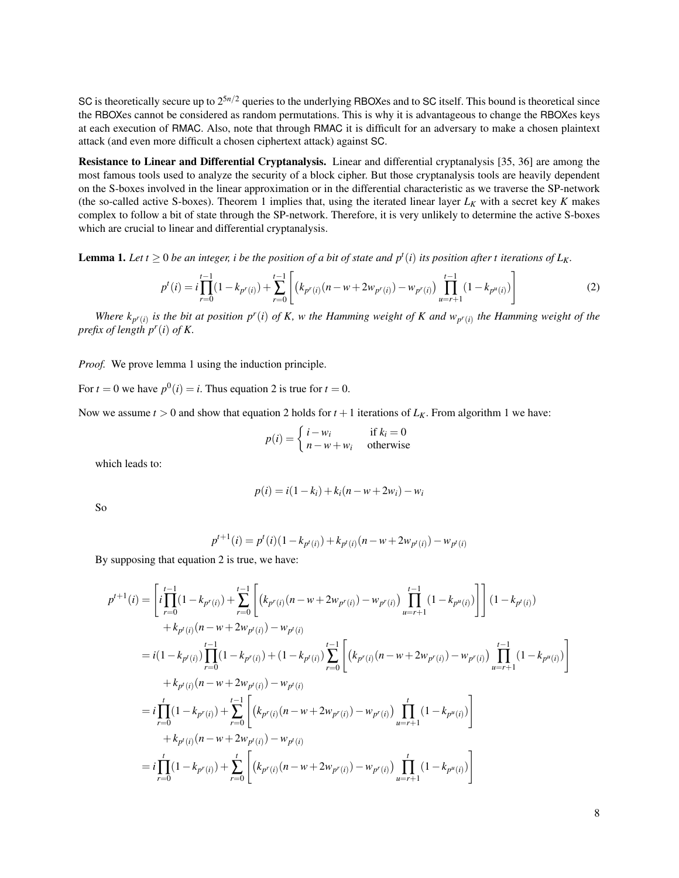SC is theoretically secure up to  $2^{5n/2}$  queries to the underlying RBOXes and to SC itself. This bound is theoretical since the RBOXes cannot be considered as random permutations. This is why it is advantageous to change the RBOXes keys at each execution of RMAC. Also, note that through RMAC it is difficult for an adversary to make a chosen plaintext attack (and even more difficult a chosen ciphertext attack) against SC.

Resistance to Linear and Differential Cryptanalysis. Linear and differential cryptanalysis [35, 36] are among the most famous tools used to analyze the security of a block cipher. But those cryptanalysis tools are heavily dependent on the S-boxes involved in the linear approximation or in the differential characteristic as we traverse the SP-network (the so-called active S-boxes). Theorem 1 implies that, using the iterated linear layer  $L_K$  with a secret key  $K$  makes complex to follow a bit of state through the SP-network. Therefore, it is very unlikely to determine the active S-boxes which are crucial to linear and differential cryptanalysis.

**Lemma 1.** Let  $t \ge 0$  be an integer, i be the position of a bit of state and  $p^t(i)$  its position after t iterations of  $L_K$ .

$$
p^{t}(i) = i \prod_{r=0}^{t-1} (1 - k_{p^{r}(i)}) + \sum_{r=0}^{t-1} \left[ \left( k_{p^{r}(i)}(n - w + 2w_{p^{r}(i)}) - w_{p^{r}(i)} \right) \prod_{u=r+1}^{t-1} (1 - k_{p^{u}(i)}) \right]
$$
(2)

*Where*  $k_{p^r(i)}$  *is the bit at position p<sup>r</sup>(<i>i*) *of K, w the Hamming weight of K and*  $w_{p^r(i)}$  *the Hamming weight of the prefix of length p<sup>r</sup>* (*i*) *of K.*

*Proof.* We prove lemma 1 using the induction principle.

For  $t = 0$  we have  $p^0(i) = i$ . Thus equation 2 is true for  $t = 0$ .

Now we assume  $t > 0$  and show that equation 2 holds for  $t + 1$  iterations of  $L_K$ . From algorithm 1 we have:

$$
p(i) = \begin{cases} i - w_i & \text{if } k_i = 0\\ n - w + w_i & \text{otherwise} \end{cases}
$$

which leads to:

$$
p(i) = i(1 - k_i) + k_i(n - w + 2w_i) - w_i
$$

So

$$
p^{t+1}(i) = p^{t}(i)(1 - k_{p^{t}(i)}) + k_{p^{t}(i)}(n - w + 2w_{p^{t}(i)}) - w_{p^{t}(i)}
$$

By supposing that equation 2 is true, we have:

$$
p^{t+1}(i) = \left[ i \prod_{r=0}^{t-1} (1 - k_{p^r(i)}) + \sum_{r=0}^{t-1} \left[ (k_{p^r(i)}(n - w + 2w_{p^r(i)}) - w_{p^r(i)}) \prod_{u=r+1}^{t-1} (1 - k_{p^u(i)}) \right] (1 - k_{p^t(i)})
$$
  
+  $k_{p^t(i)}(n - w + 2w_{p^t(i)}) - w_{p^t(i)}$   
=  $i(1 - k_{p^t(i)}) \prod_{r=0}^{t-1} (1 - k_{p^r(i)}) + (1 - k_{p^t(i)}) \sum_{r=0}^{t-1} \left[ (k_{p^r(i)}(n - w + 2w_{p^r(i)}) - w_{p^r(i)}) \prod_{u=r+1}^{t-1} (1 - k_{p^u(i)}) \right]$   
+  $k_{p^t(i)}(n - w + 2w_{p^t(i)}) - w_{p^t(i)}$   
=  $i \prod_{r=0}^{t} (1 - k_{p^r(i)}) + \sum_{r=0}^{t-1} \left[ (k_{p^r(i)}(n - w + 2w_{p^r(i)}) - w_{p^r(i)}) \prod_{u=r+1}^{t} (1 - k_{p^u(i)}) \right]$   
+  $k_{p^t(i)}(n - w + 2w_{p^t(i)}) - w_{p^t(i)}$   
=  $i \prod_{r=0}^{t} (1 - k_{p^r(i)}) + \sum_{r=0}^{t} \left[ (k_{p^r(i)}(n - w + 2w_{p^r(i)}) - w_{p^r(i)}) \prod_{u=r+1}^{t} (1 - k_{p^u(i)}) \right]$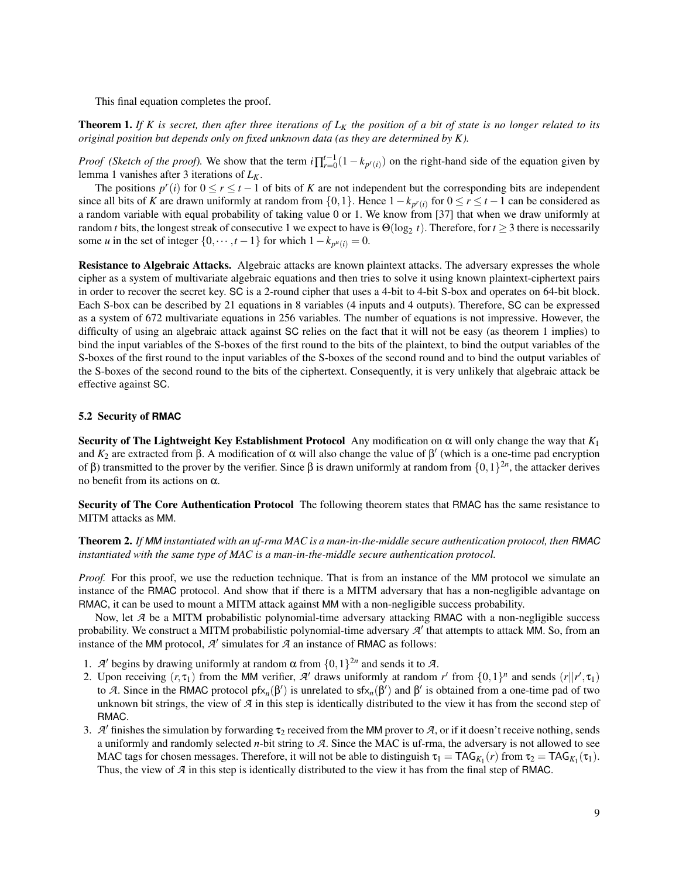This final equation completes the proof.

Theorem 1. *If K is secret, then after three iterations of L<sup>K</sup> the position of a bit of state is no longer related to its original position but depends only on fixed unknown data (as they are determined by K).*

*Proof (Sketch of the proof)*. We show that the term  $i \prod_{r=0}^{t-1} (1 - k_{p^r(i)})$  on the right-hand side of the equation given by lemma 1 vanishes after 3 iterations of *LK*.

The positions  $p^r(i)$  for  $0 \le r \le t-1$  of bits of *K* are not independent but the corresponding bits are independent since all bits of *K* are drawn uniformly at random from  $\{0,1\}$ . Hence  $1-k_{p'(i)}$  for  $0 \le r \le t-1$  can be considered as a random variable with equal probability of taking value 0 or 1. We know from [37] that when we draw uniformly at random *t* bits, the longest streak of consecutive 1 we expect to have is  $\Theta(\log_2 t)$ . Therefore, for  $t \ge 3$  there is necessarily some *u* in the set of integer  $\{0, \dots, t-1\}$  for which  $1-k_{p^u(i)} = 0$ .

Resistance to Algebraic Attacks. Algebraic attacks are known plaintext attacks. The adversary expresses the whole cipher as a system of multivariate algebraic equations and then tries to solve it using known plaintext-ciphertext pairs in order to recover the secret key. SC is a 2-round cipher that uses a 4-bit to 4-bit S-box and operates on 64-bit block. Each S-box can be described by 21 equations in 8 variables (4 inputs and 4 outputs). Therefore, SC can be expressed as a system of 672 multivariate equations in 256 variables. The number of equations is not impressive. However, the difficulty of using an algebraic attack against SC relies on the fact that it will not be easy (as theorem 1 implies) to bind the input variables of the S-boxes of the first round to the bits of the plaintext, to bind the output variables of the S-boxes of the first round to the input variables of the S-boxes of the second round and to bind the output variables of the S-boxes of the second round to the bits of the ciphertext. Consequently, it is very unlikely that algebraic attack be effective against SC.

### 5.2 Security of **RMAC**

Security of The Lightweight Key Establishment Protocol Any modification on α will only change the way that *K*<sup>1</sup> and  $K_2$  are extracted from  $\beta$ . A modification of  $\alpha$  will also change the value of  $\beta'$  (which is a one-time pad encryption of β) transmitted to the prover by the verifier. Since β is drawn uniformly at random from  $\{0,1\}^{2n}$ , the attacker derives no benefit from its actions on α.

Security of The Core Authentication Protocol The following theorem states that RMAC has the same resistance to MITM attacks as MM.

Theorem 2. *If MM instantiated with an uf-rma MAC is a man-in-the-middle secure authentication protocol, then RMAC instantiated with the same type of MAC is a man-in-the-middle secure authentication protocol.*

*Proof.* For this proof, we use the reduction technique. That is from an instance of the MM protocol we simulate an instance of the RMAC protocol. And show that if there is a MITM adversary that has a non-negligible advantage on RMAC, it can be used to mount a MITM attack against MM with a non-negligible success probability.

Now, let *A* be a MITM probabilistic polynomial-time adversary attacking RMAC with a non-negligible success probability. We construct a MITM probabilistic polynomial-time adversary  $A'$  that attempts to attack MM. So, from an instance of the MM protocol,  $\mathcal{A}'$  simulates for  $\mathcal{A}$  an instance of RMAC as follows:

- 1. *A'* begins by drawing uniformly at random  $\alpha$  from  $\{0,1\}^{2n}$  and sends it to *A*.
- 2. Upon receiving  $(r, \tau_1)$  from the MM verifier, A' draws uniformly at random r' from  $\{0,1\}^n$  and sends  $(r||r', \tau_1)$ to *A*. Since in the RMAC protocol  $pfx_n(\beta')$  is unrelated to  $sfx_n(\beta')$  and  $\beta'$  is obtained from a one-time pad of two unknown bit strings, the view of *A* in this step is identically distributed to the view it has from the second step of RMAC.
- 3. *A'* finishes the simulation by forwarding  $\tau_2$  received from the MM prover to *A*, or if it doesn't receive nothing, sends a uniformly and randomly selected *n*-bit string to *A*. Since the MAC is uf-rma, the adversary is not allowed to see MAC tags for chosen messages. Therefore, it will not be able to distinguish  $\tau_1 = TAG_{K_1}(r)$  from  $\tau_2 = TAG_{K_1}(\tau_1)$ . Thus, the view of *A* in this step is identically distributed to the view it has from the final step of RMAC.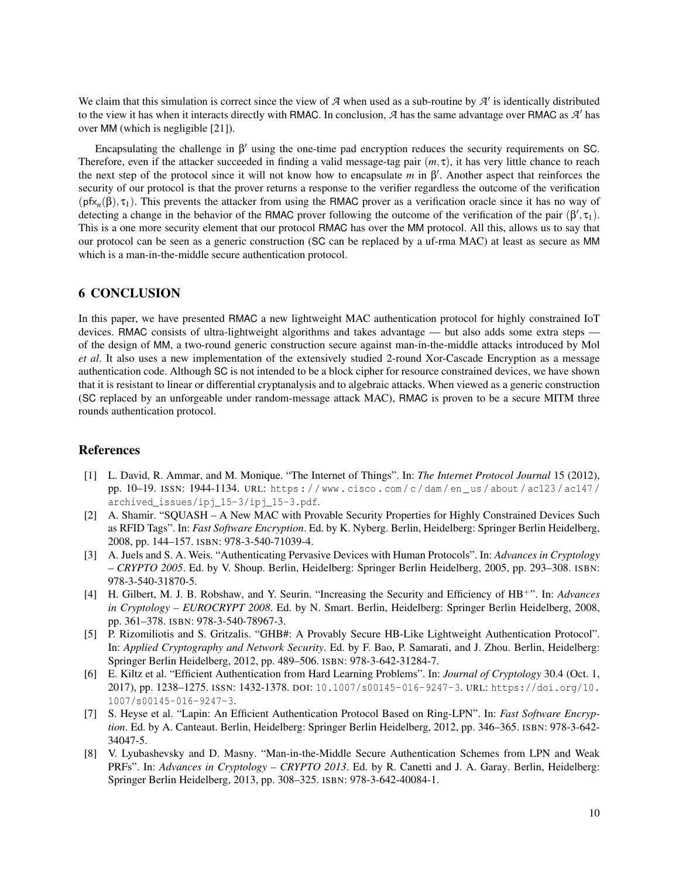We claim that this simulation is correct since the view of  $A$  when used as a sub-routine by  $A'$  is identically distributed to the view it has when it interacts directly with RMAC. In conclusion,  $A$  has the same advantage over RMAC as  $A'$  has over MM (which is negligible [21]).

Encapsulating the challenge in  $\beta'$  using the one-time pad encryption reduces the security requirements on SC. Therefore, even if the attacker succeeded in finding a valid message-tag pair  $(m, \tau)$ , it has very little chance to reach the next step of the protocol since it will not know how to encapsulate  $m$  in  $\beta'$ . Another aspect that reinforces the security of our protocol is that the prover returns a response to the verifier regardless the outcome of the verification  $(pfx_n(\beta), \tau_1)$ . This prevents the attacker from using the RMAC prover as a verification oracle since it has no way of detecting a change in the behavior of the RMAC prover following the outcome of the verification of the pair  $(\beta', \tau_1)$ . This is a one more security element that our protocol RMAC has over the MM protocol. All this, allows us to say that our protocol can be seen as a generic construction (SC can be replaced by a uf-rma MAC) at least as secure as MM which is a man-in-the-middle secure authentication protocol.

# 6 CONCLUSION

In this paper, we have presented RMAC a new lightweight MAC authentication protocol for highly constrained IoT devices. RMAC consists of ultra-lightweight algorithms and takes advantage — but also adds some extra steps of the design of MM, a two-round generic construction secure against man-in-the-middle attacks introduced by Mol *et al*. It also uses a new implementation of the extensively studied 2-round Xor-Cascade Encryption as a message authentication code. Although SC is not intended to be a block cipher for resource constrained devices, we have shown that it is resistant to linear or differential cryptanalysis and to algebraic attacks. When viewed as a generic construction (SC replaced by an unforgeable under random-message attack MAC), RMAC is proven to be a secure MITM three rounds authentication protocol.

## References

- [1] L. David, R. Ammar, and M. Monique. "The Internet of Things". In: *The Internet Protocol Journal* 15 (2012), pp. 10–19. ISSN: 1944-1134. URL: https : / / www . cisco . com / c / dam / en \_ us / about / ac123 / ac147 / archived\_issues/ipj\_15-3/ipj\_15-3.pdf.
- [2] A. Shamir. "SQUASH A New MAC with Provable Security Properties for Highly Constrained Devices Such as RFID Tags". In: *Fast Software Encryption*. Ed. by K. Nyberg. Berlin, Heidelberg: Springer Berlin Heidelberg, 2008, pp. 144–157. ISBN: 978-3-540-71039-4.
- [3] A. Juels and S. A. Weis. "Authenticating Pervasive Devices with Human Protocols". In: *Advances in Cryptology – CRYPTO 2005*. Ed. by V. Shoup. Berlin, Heidelberg: Springer Berlin Heidelberg, 2005, pp. 293–308. ISBN: 978-3-540-31870-5.
- [4] H. Gilbert, M. J. B. Robshaw, and Y. Seurin. "Increasing the Security and Efficiency of HB+". In: *Advances in Cryptology – EUROCRYPT 2008*. Ed. by N. Smart. Berlin, Heidelberg: Springer Berlin Heidelberg, 2008, pp. 361–378. ISBN: 978-3-540-78967-3.
- [5] P. Rizomiliotis and S. Gritzalis. "GHB#: A Provably Secure HB-Like Lightweight Authentication Protocol". In: *Applied Cryptography and Network Security*. Ed. by F. Bao, P. Samarati, and J. Zhou. Berlin, Heidelberg: Springer Berlin Heidelberg, 2012, pp. 489–506. ISBN: 978-3-642-31284-7.
- [6] E. Kiltz et al. "Efficient Authentication from Hard Learning Problems". In: *Journal of Cryptology* 30.4 (Oct. 1, 2017), pp. 1238–1275. ISSN: 1432-1378. DOI: 10.1007/s00145-016-9247-3. URL: https://doi.org/10. 1007/s00145-016-9247-3.
- [7] S. Heyse et al. "Lapin: An Efficient Authentication Protocol Based on Ring-LPN". In: *Fast Software Encryption*. Ed. by A. Canteaut. Berlin, Heidelberg: Springer Berlin Heidelberg, 2012, pp. 346–365. ISBN: 978-3-642- 34047-5.
- [8] V. Lyubashevsky and D. Masny. "Man-in-the-Middle Secure Authentication Schemes from LPN and Weak PRFs". In: *Advances in Cryptology – CRYPTO 2013*. Ed. by R. Canetti and J. A. Garay. Berlin, Heidelberg: Springer Berlin Heidelberg, 2013, pp. 308–325. ISBN: 978-3-642-40084-1.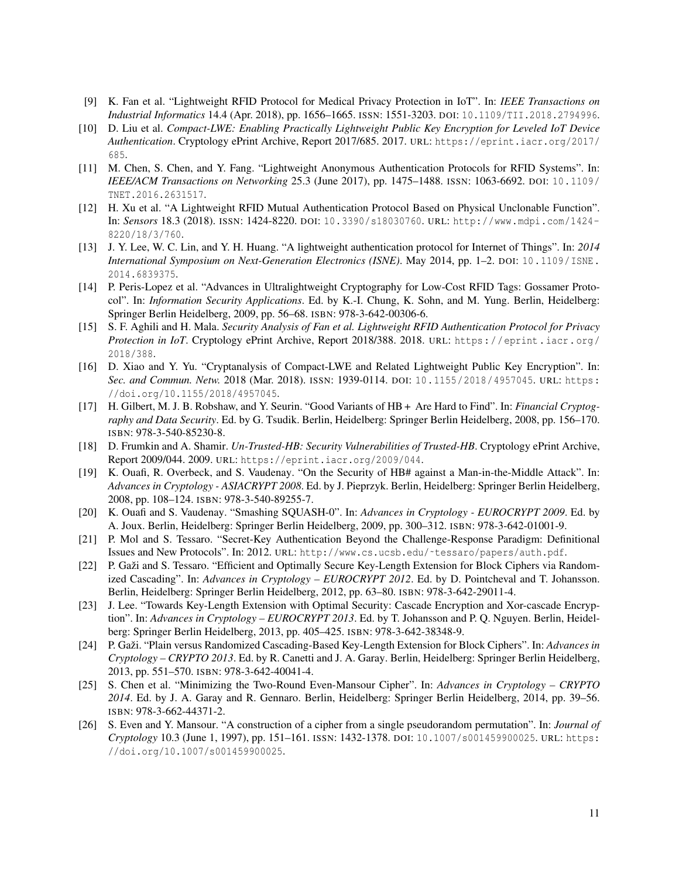- [9] K. Fan et al. "Lightweight RFID Protocol for Medical Privacy Protection in IoT". In: *IEEE Transactions on Industrial Informatics* 14.4 (Apr. 2018), pp. 1656–1665. ISSN: 1551-3203. DOI: 10.1109/TII.2018.2794996.
- [10] D. Liu et al. *Compact-LWE: Enabling Practically Lightweight Public Key Encryption for Leveled IoT Device Authentication*. Cryptology ePrint Archive, Report 2017/685. 2017. URL: https://eprint.iacr.org/2017/ 685.
- [11] M. Chen, S. Chen, and Y. Fang. "Lightweight Anonymous Authentication Protocols for RFID Systems". In: *IEEE/ACM Transactions on Networking* 25.3 (June 2017), pp. 1475–1488. ISSN: 1063-6692. DOI: 10.1109/ TNET.2016.2631517.
- [12] H. Xu et al. "A Lightweight RFID Mutual Authentication Protocol Based on Physical Unclonable Function". In: *Sensors* 18.3 (2018). ISSN: 1424-8220. DOI: 10.3390/s18030760. URL: http://www.mdpi.com/1424- 8220/18/3/760.
- [13] J. Y. Lee, W. C. Lin, and Y. H. Huang. "A lightweight authentication protocol for Internet of Things". In: *2014 International Symposium on Next-Generation Electronics (ISNE)*. May 2014, pp. 1–2. DOI: 10.1109/ISNE. 2014.6839375.
- [14] P. Peris-Lopez et al. "Advances in Ultralightweight Cryptography for Low-Cost RFID Tags: Gossamer Protocol". In: *Information Security Applications*. Ed. by K.-I. Chung, K. Sohn, and M. Yung. Berlin, Heidelberg: Springer Berlin Heidelberg, 2009, pp. 56–68. ISBN: 978-3-642-00306-6.
- [15] S. F. Aghili and H. Mala. *Security Analysis of Fan et al. Lightweight RFID Authentication Protocol for Privacy Protection in IoT*. Cryptology ePrint Archive, Report 2018/388. 2018. URL: https://eprint.iacr.org/ 2018/388.
- [16] D. Xiao and Y. Yu. "Cryptanalysis of Compact-LWE and Related Lightweight Public Key Encryption". In: *Sec. and Commun. Netw.* 2018 (Mar. 2018). ISSN: 1939-0114. DOI: 10.1155/2018/4957045. URL: https: //doi.org/10.1155/2018/4957045.
- [17] H. Gilbert, M. J. B. Robshaw, and Y. Seurin. "Good Variants of HB + Are Hard to Find". In: *Financial Cryptography and Data Security*. Ed. by G. Tsudik. Berlin, Heidelberg: Springer Berlin Heidelberg, 2008, pp. 156–170. ISBN: 978-3-540-85230-8.
- [18] D. Frumkin and A. Shamir. *Un-Trusted-HB: Security Vulnerabilities of Trusted-HB*. Cryptology ePrint Archive, Report 2009/044. 2009. URL: https://eprint.iacr.org/2009/044.
- [19] K. Ouafi, R. Overbeck, and S. Vaudenay. "On the Security of HB# against a Man-in-the-Middle Attack". In: *Advances in Cryptology - ASIACRYPT 2008*. Ed. by J. Pieprzyk. Berlin, Heidelberg: Springer Berlin Heidelberg, 2008, pp. 108–124. ISBN: 978-3-540-89255-7.
- [20] K. Ouafi and S. Vaudenay. "Smashing SQUASH-0". In: *Advances in Cryptology EUROCRYPT 2009*. Ed. by A. Joux. Berlin, Heidelberg: Springer Berlin Heidelberg, 2009, pp. 300–312. ISBN: 978-3-642-01001-9.
- [21] P. Mol and S. Tessaro. "Secret-Key Authentication Beyond the Challenge-Response Paradigm: Definitional Issues and New Protocols". In: 2012. URL: http://www.cs.ucsb.edu/˜tessaro/papers/auth.pdf.
- [22] P. Gaži and S. Tessaro. "Efficient and Optimally Secure Key-Length Extension for Block Ciphers via Randomized Cascading". In: *Advances in Cryptology – EUROCRYPT 2012*. Ed. by D. Pointcheval and T. Johansson. Berlin, Heidelberg: Springer Berlin Heidelberg, 2012, pp. 63–80. ISBN: 978-3-642-29011-4.
- [23] J. Lee. "Towards Key-Length Extension with Optimal Security: Cascade Encryption and Xor-cascade Encryption". In: *Advances in Cryptology – EUROCRYPT 2013*. Ed. by T. Johansson and P. Q. Nguyen. Berlin, Heidelberg: Springer Berlin Heidelberg, 2013, pp. 405–425. ISBN: 978-3-642-38348-9.
- [24] P. Gaži. "Plain versus Randomized Cascading-Based Key-Length Extension for Block Ciphers". In: *Advances in Cryptology – CRYPTO 2013*. Ed. by R. Canetti and J. A. Garay. Berlin, Heidelberg: Springer Berlin Heidelberg, 2013, pp. 551–570. ISBN: 978-3-642-40041-4.
- [25] S. Chen et al. "Minimizing the Two-Round Even-Mansour Cipher". In: *Advances in Cryptology CRYPTO 2014*. Ed. by J. A. Garay and R. Gennaro. Berlin, Heidelberg: Springer Berlin Heidelberg, 2014, pp. 39–56. ISBN: 978-3-662-44371-2.
- [26] S. Even and Y. Mansour. "A construction of a cipher from a single pseudorandom permutation". In: *Journal of Cryptology* 10.3 (June 1, 1997), pp. 151–161. ISSN: 1432-1378. DOI: 10.1007/s001459900025. URL: https: //doi.org/10.1007/s001459900025.